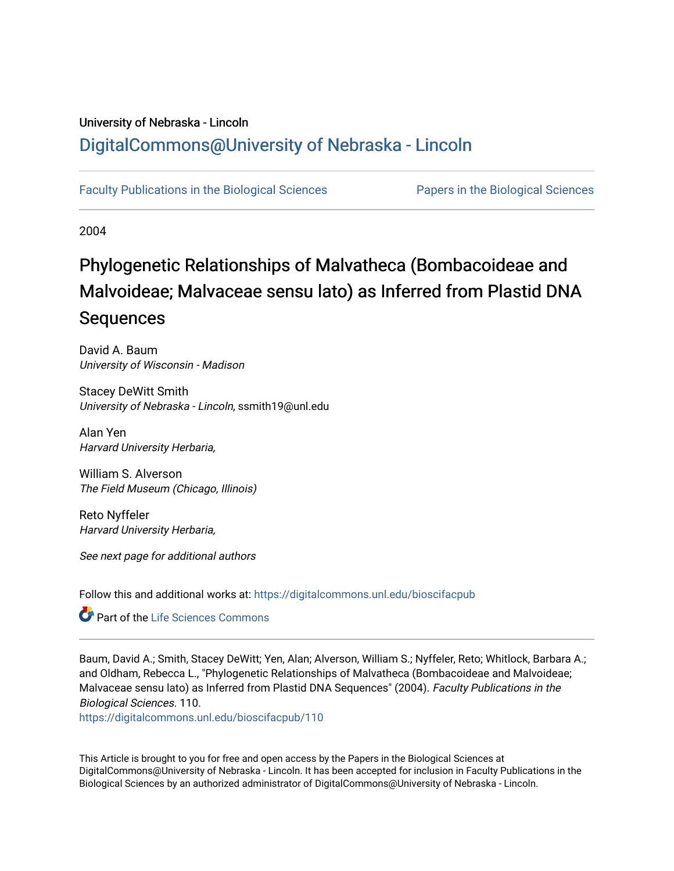# University of Nebraska - Lincoln [DigitalCommons@University of Nebraska - Lincoln](https://digitalcommons.unl.edu/)

[Faculty Publications in the Biological Sciences](https://digitalcommons.unl.edu/bioscifacpub) [Papers in the Biological Sciences](https://digitalcommons.unl.edu/bioscipapers) 

2004

# Phylogenetic Relationships of Malvatheca (Bombacoideae and Malvoideae; Malvaceae sensu lato) as Inferred from Plastid DNA Sequences

David A. Baum University of Wisconsin - Madison

Stacey DeWitt Smith University of Nebraska - Lincoln, ssmith19@unl.edu

Alan Yen Harvard University Herbaria,

William S. Alverson The Field Museum (Chicago, Illinois)

Reto Nyffeler Harvard University Herbaria,

See next page for additional authors

Follow this and additional works at: [https://digitalcommons.unl.edu/bioscifacpub](https://digitalcommons.unl.edu/bioscifacpub?utm_source=digitalcommons.unl.edu%2Fbioscifacpub%2F110&utm_medium=PDF&utm_campaign=PDFCoverPages) 

## **Part of the Life Sciences Commons**

Baum, David A.; Smith, Stacey DeWitt; Yen, Alan; Alverson, William S.; Nyffeler, Reto; Whitlock, Barbara A.; and Oldham, Rebecca L., "Phylogenetic Relationships of Malvatheca (Bombacoideae and Malvoideae; Malvaceae sensu lato) as Inferred from Plastid DNA Sequences" (2004). Faculty Publications in the Biological Sciences. 110.

[https://digitalcommons.unl.edu/bioscifacpub/110](https://digitalcommons.unl.edu/bioscifacpub/110?utm_source=digitalcommons.unl.edu%2Fbioscifacpub%2F110&utm_medium=PDF&utm_campaign=PDFCoverPages) 

This Article is brought to you for free and open access by the Papers in the Biological Sciences at DigitalCommons@University of Nebraska - Lincoln. It has been accepted for inclusion in Faculty Publications in the Biological Sciences by an authorized administrator of DigitalCommons@University of Nebraska - Lincoln.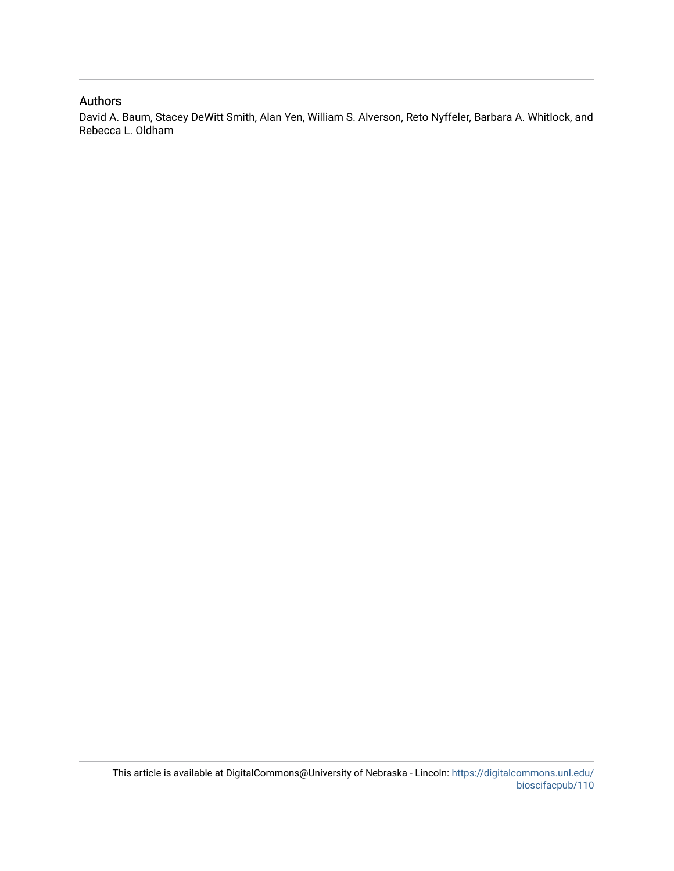## Authors

David A. Baum, Stacey DeWitt Smith, Alan Yen, William S. Alverson, Reto Nyffeler, Barbara A. Whitlock, and Rebecca L. Oldham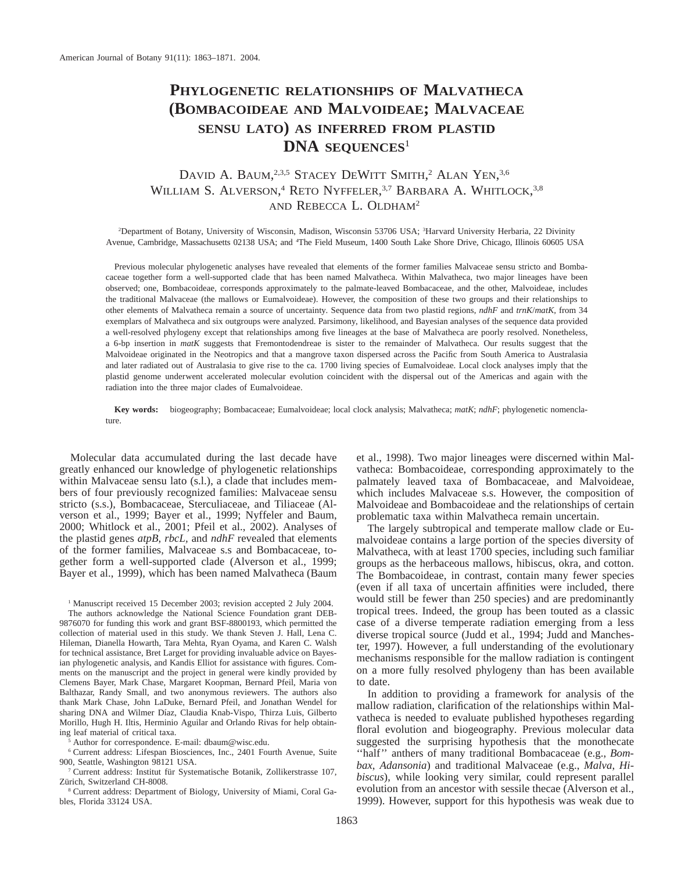## **PHYLOGENETIC RELATIONSHIPS OF MALVATHECA (BOMBACOIDEAE AND MALVOIDEAE; MALVACEAE SENSU LATO) AS INFERRED FROM PLASTID DNA SEQUENCES**<sup>1</sup>

## DAVID A. BAUM,<sup>2,3,5</sup> STACEY DEWITT SMITH,<sup>2</sup> ALAN YEN,<sup>3,6</sup> WILLIAM S. ALVERSON,<sup>4</sup> RETO NYFFELER,<sup>3,7</sup> BARBARA A. WHITLOCK,<sup>3,8</sup> AND REBECCA L. OLDHAM2

2 Department of Botany, University of Wisconsin, Madison, Wisconsin 53706 USA; <sup>3</sup> Harvard University Herbaria, 22 Divinity Avenue, Cambridge, Massachusetts 02138 USA; and <sup>4</sup>The Field Museum, 1400 South Lake Shore Drive, Chicago, Illinois 60605 USA

Previous molecular phylogenetic analyses have revealed that elements of the former families Malvaceae sensu stricto and Bombacaceae together form a well-supported clade that has been named Malvatheca. Within Malvatheca, two major lineages have been observed; one, Bombacoideae, corresponds approximately to the palmate-leaved Bombacaceae, and the other, Malvoideae, includes the traditional Malvaceae (the mallows or Eumalvoideae). However, the composition of these two groups and their relationships to other elements of Malvatheca remain a source of uncertainty. Sequence data from two plastid regions, *ndhF* and *trnK*/*matK,* from 34 exemplars of Malvatheca and six outgroups were analyzed. Parsimony, likelihood, and Bayesian analyses of the sequence data provided a well-resolved phylogeny except that relationships among five lineages at the base of Malvatheca are poorly resolved. Nonetheless, a 6-bp insertion in *matK* suggests that Fremontodendreae is sister to the remainder of Malvatheca. Our results suggest that the Malvoideae originated in the Neotropics and that a mangrove taxon dispersed across the Pacific from South America to Australasia and later radiated out of Australasia to give rise to the ca. 1700 living species of Eumalvoideae. Local clock analyses imply that the plastid genome underwent accelerated molecular evolution coincident with the dispersal out of the Americas and again with the radiation into the three major clades of Eumalvoideae.

**Key words:** biogeography; Bombacaceae; Eumalvoideae; local clock analysis; Malvatheca; *matK*; *ndhF*; phylogenetic nomenclature.

Molecular data accumulated during the last decade have greatly enhanced our knowledge of phylogenetic relationships within Malvaceae sensu lato (s.l.), a clade that includes members of four previously recognized families: Malvaceae sensu stricto (s.s.), Bombacaceae, Sterculiaceae, and Tiliaceae (Alverson et al., 1999; Bayer et al., 1999; Nyffeler and Baum, 2000; Whitlock et al., 2001; Pfeil et al., 2002). Analyses of the plastid genes *atpB, rbcL,* and *ndhF* revealed that elements of the former families, Malvaceae s.s and Bombacaceae, together form a well-supported clade (Alverson et al., 1999; Bayer et al., 1999), which has been named Malvatheca (Baum

<sup>1</sup> Manuscript received 15 December 2003; revision accepted 2 July 2004. The authors acknowledge the National Science Foundation grant DEB-9876070 for funding this work and grant BSF-8800193, which permitted the collection of material used in this study. We thank Steven J. Hall, Lena C. Hileman, Dianella Howarth, Tara Mehta, Ryan Oyama, and Karen C. Walsh for technical assistance, Bret Larget for providing invaluable advice on Bayesian phylogenetic analysis, and Kandis Elliot for assistance with figures. Comments on the manuscript and the project in general were kindly provided by Clemens Bayer, Mark Chase, Margaret Koopman, Bernard Pfeil, Maria von Balthazar, Randy Small, and two anonymous reviewers. The authors also thank Mark Chase, John LaDuke, Bernard Pfeil, and Jonathan Wendel for sharing DNA and Wilmer Díaz, Claudia Knab-Vispo, Thirza Luis, Gilberto Morillo, Hugh H. Iltis, Herminio Aguilar and Orlando Rivas for help obtaining leaf material of critical taxa.

<sup>5</sup> Author for correspondence. E-mail: dbaum@wisc.edu.

<sup>6</sup> Current address: Lifespan Biosciences, Inc., 2401 Fourth Avenue, Suite 900, Seattle, Washington 98121 USA.

<sup>7</sup> Current address: Institut für Systematische Botanik, Zollikerstrasse 107, Zürich, Switzerland CH-8008.

<sup>8</sup> Current address: Department of Biology, University of Miami, Coral Gables, Florida 33124 USA.

et al., 1998). Two major lineages were discerned within Malvatheca: Bombacoideae, corresponding approximately to the palmately leaved taxa of Bombacaceae, and Malvoideae, which includes Malvaceae s.s. However, the composition of Malvoideae and Bombacoideae and the relationships of certain problematic taxa within Malvatheca remain uncertain.

The largely subtropical and temperate mallow clade or Eumalvoideae contains a large portion of the species diversity of Malvatheca, with at least 1700 species, including such familiar groups as the herbaceous mallows, hibiscus, okra, and cotton. The Bombacoideae, in contrast, contain many fewer species (even if all taxa of uncertain affinities were included, there would still be fewer than 250 species) and are predominantly tropical trees. Indeed, the group has been touted as a classic case of a diverse temperate radiation emerging from a less diverse tropical source (Judd et al., 1994; Judd and Manchester, 1997). However, a full understanding of the evolutionary mechanisms responsible for the mallow radiation is contingent on a more fully resolved phylogeny than has been available to date.

In addition to providing a framework for analysis of the mallow radiation, clarification of the relationships within Malvatheca is needed to evaluate published hypotheses regarding floral evolution and biogeography. Previous molecular data suggested the surprising hypothesis that the monothecate ''half'' anthers of many traditional Bombacaceae (e.g., *Bombax*, *Adansonia*) and traditional Malvaceae (e.g., *Malva*, *Hibiscus*), while looking very similar, could represent parallel evolution from an ancestor with sessile thecae (Alverson et al., 1999). However, support for this hypothesis was weak due to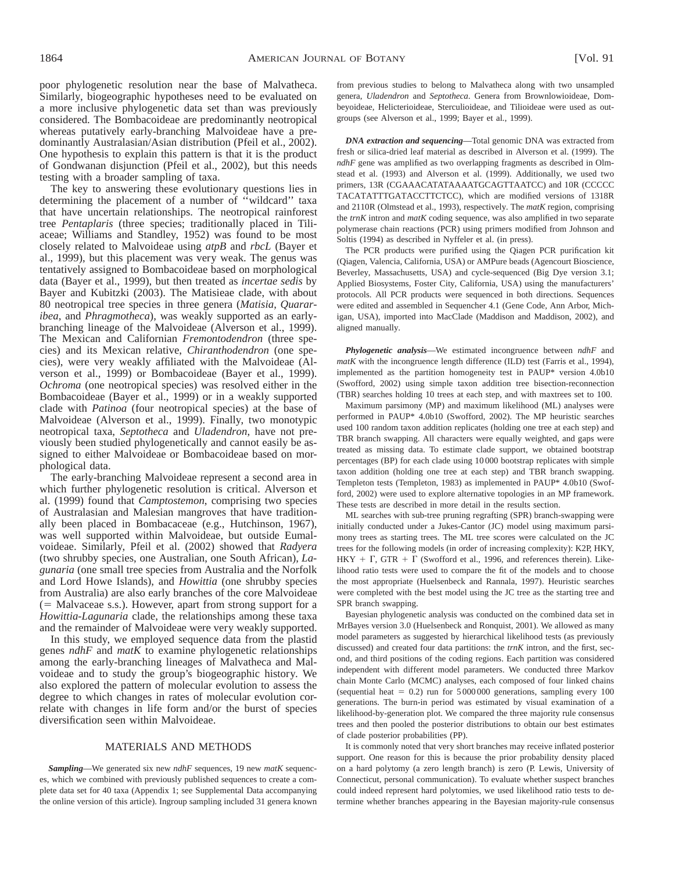poor phylogenetic resolution near the base of Malvatheca. Similarly, biogeographic hypotheses need to be evaluated on a more inclusive phylogenetic data set than was previously considered. The Bombacoideae are predominantly neotropical whereas putatively early-branching Malvoideae have a predominantly Australasian/Asian distribution (Pfeil et al., 2002). One hypothesis to explain this pattern is that it is the product of Gondwanan disjunction (Pfeil et al., 2002), but this needs testing with a broader sampling of taxa.

The key to answering these evolutionary questions lies in determining the placement of a number of ''wildcard'' taxa that have uncertain relationships. The neotropical rainforest tree *Pentaplaris* (three species; traditionally placed in Tiliaceae; Williams and Standley, 1952) was found to be most closely related to Malvoideae using *atpB* and *rbcL* (Bayer et al., 1999), but this placement was very weak. The genus was tentatively assigned to Bombacoideae based on morphological data (Bayer et al., 1999), but then treated as *incertae sedis* by Bayer and Kubitzki (2003). The Matisieae clade, with about 80 neotropical tree species in three genera (*Matisia*, *Quararibea*, and *Phragmotheca*), was weakly supported as an earlybranching lineage of the Malvoideae (Alverson et al., 1999). The Mexican and Californian *Fremontodendron* (three species) and its Mexican relative, *Chiranthodendron* (one species), were very weakly affiliated with the Malvoideae (Alverson et al., 1999) or Bombacoideae (Bayer et al., 1999). *Ochroma* (one neotropical species) was resolved either in the Bombacoideae (Bayer et al., 1999) or in a weakly supported clade with *Patinoa* (four neotropical species) at the base of Malvoideae (Alverson et al., 1999). Finally, two monotypic neotropical taxa, *Septotheca* and *Uladendron*, have not previously been studied phylogenetically and cannot easily be assigned to either Malvoideae or Bombacoideae based on morphological data.

The early-branching Malvoideae represent a second area in which further phylogenetic resolution is critical. Alverson et al. (1999) found that *Camptostemon*, comprising two species of Australasian and Malesian mangroves that have traditionally been placed in Bombacaceae (e.g., Hutchinson, 1967), was well supported within Malvoideae, but outside Eumalvoideae. Similarly, Pfeil et al. (2002) showed that *Radyera* (two shrubby species, one Australian, one South African), *Lagunaria* (one small tree species from Australia and the Norfolk and Lord Howe Islands), and *Howittia* (one shrubby species from Australia) are also early branches of the core Malvoideae (5 Malvaceae s.s.). However, apart from strong support for a *Howittia*-*Lagunaria* clade, the relationships among these taxa and the remainder of Malvoideae were very weakly supported.

In this study, we employed sequence data from the plastid genes *ndhF* and *matK* to examine phylogenetic relationships among the early-branching lineages of Malvatheca and Malvoideae and to study the group's biogeographic history. We also explored the pattern of molecular evolution to assess the degree to which changes in rates of molecular evolution correlate with changes in life form and/or the burst of species diversification seen within Malvoideae.

#### MATERIALS AND METHODS

*Sampling*—We generated six new *ndhF* sequences, 19 new *matK* sequences, which we combined with previously published sequences to create a complete data set for 40 taxa (Appendix 1; see Supplemental Data accompanying the online version of this article). Ingroup sampling included 31 genera known from previous studies to belong to Malvatheca along with two unsampled genera, *Uladendron* and *Septotheca*. Genera from Brownlowioideae, Dombeyoideae, Helicterioideae, Sterculioideae, and Tilioideae were used as outgroups (see Alverson et al., 1999; Bayer et al., 1999).

*DNA extraction and sequencing*—Total genomic DNA was extracted from fresh or silica-dried leaf material as described in Alverson et al. (1999). The *ndhF* gene was amplified as two overlapping fragments as described in Olmstead et al. (1993) and Alverson et al. (1999). Additionally, we used two primers, 13R (CGAAACATATAAAATGCAGTTAATCC) and 10R (CCCCC TACATATTTGATACCTTCTCC), which are modified versions of 1318R and 2110R (Olmstead et al., 1993), respectively. The *matK* region, comprising the *trnK* intron and *matK* coding sequence, was also amplified in two separate polymerase chain reactions (PCR) using primers modified from Johnson and Soltis (1994) as described in Nyffeler et al. (in press).

The PCR products were purified using the Qiagen PCR purification kit (Qiagen, Valencia, California, USA) or AMPure beads (Agencourt Bioscience, Beverley, Massachusetts, USA) and cycle-sequenced (Big Dye version 3.1; Applied Biosystems, Foster City, California, USA) using the manufacturers' protocols. All PCR products were sequenced in both directions. Sequences were edited and assembled in Sequencher 4.1 (Gene Code, Ann Arbor, Michigan, USA), imported into MacClade (Maddison and Maddison, 2002), and aligned manually.

*Phylogenetic analysis*—We estimated incongruence between *ndhF* and *matK* with the incongruence length difference (ILD) test (Farris et al., 1994), implemented as the partition homogeneity test in PAUP\* version 4.0b10 (Swofford, 2002) using simple taxon addition tree bisection-reconnection (TBR) searches holding 10 trees at each step, and with maxtrees set to 100.

Maximum parsimony (MP) and maximum likelihood (ML) analyses were performed in PAUP\* 4.0b10 (Swofford, 2002). The MP heuristic searches used 100 random taxon addition replicates (holding one tree at each step) and TBR branch swapping. All characters were equally weighted, and gaps were treated as missing data. To estimate clade support, we obtained bootstrap percentages (BP) for each clade using 10 000 bootstrap replicates with simple taxon addition (holding one tree at each step) and TBR branch swapping. Templeton tests (Templeton, 1983) as implemented in PAUP\* 4.0b10 (Swofford, 2002) were used to explore alternative topologies in an MP framework. These tests are described in more detail in the results section.

ML searches with sub-tree pruning regrafting (SPR) branch-swapping were initially conducted under a Jukes-Cantor (JC) model using maximum parsimony trees as starting trees. The ML tree scores were calculated on the JC trees for the following models (in order of increasing complexity): K2P, HKY, HKY +  $\Gamma$ , GTR +  $\Gamma$  (Swofford et al., 1996, and references therein). Likelihood ratio tests were used to compare the fit of the models and to choose the most appropriate (Huelsenbeck and Rannala, 1997). Heuristic searches were completed with the best model using the JC tree as the starting tree and SPR branch swapping.

Bayesian phylogenetic analysis was conducted on the combined data set in MrBayes version 3.0 (Huelsenbeck and Ronquist, 2001). We allowed as many model parameters as suggested by hierarchical likelihood tests (as previously discussed) and created four data partitions: the *trnK* intron, and the first, second, and third positions of the coding regions. Each partition was considered independent with different model parameters. We conducted three Markov chain Monte Carlo (MCMC) analyses, each composed of four linked chains (sequential heat  $= 0.2$ ) run for  $5000000$  generations, sampling every 100 generations. The burn-in period was estimated by visual examination of a likelihood-by-generation plot. We compared the three majority rule consensus trees and then pooled the posterior distributions to obtain our best estimates of clade posterior probabilities (PP).

It is commonly noted that very short branches may receive inflated posterior support. One reason for this is because the prior probability density placed on a hard polytomy (a zero length branch) is zero (P. Lewis, University of Connecticut, personal communication). To evaluate whether suspect branches could indeed represent hard polytomies, we used likelihood ratio tests to determine whether branches appearing in the Bayesian majority-rule consensus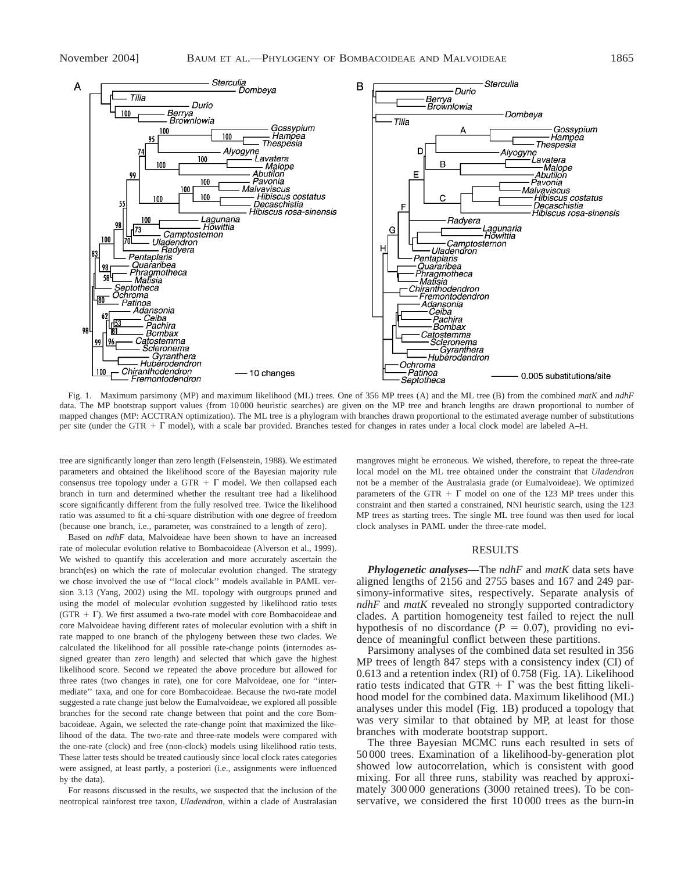

Fig. 1. Maximum parsimony (MP) and maximum likelihood (ML) trees. One of 356 MP trees (A) and the ML tree (B) from the combined *matK* and *ndhF* data. The MP bootstrap support values (from 10000 heuristic searches) are given on the MP tree and branch lengths are drawn proportional to number of mapped changes (MP: ACCTRAN optimization). The ML tree is a phylogram with branches drawn proportional to the estimated average number of substitutions per site (under the GTR +  $\Gamma$  model), with a scale bar provided. Branches tested for changes in rates under a local clock model are labeled A–H.

tree are significantly longer than zero length (Felsenstein, 1988). We estimated parameters and obtained the likelihood score of the Bayesian majority rule consensus tree topology under a GTR +  $\Gamma$  model. We then collapsed each branch in turn and determined whether the resultant tree had a likelihood score significantly different from the fully resolved tree. Twice the likelihood ratio was assumed to fit a chi-square distribution with one degree of freedom (because one branch, i.e., parameter, was constrained to a length of zero).

Based on *ndhF* data, Malvoideae have been shown to have an increased rate of molecular evolution relative to Bombacoideae (Alverson et al., 1999). We wished to quantify this acceleration and more accurately ascertain the branch(es) on which the rate of molecular evolution changed. The strategy we chose involved the use of ''local clock'' models available in PAML version 3.13 (Yang, 2002) using the ML topology with outgroups pruned and using the model of molecular evolution suggested by likelihood ratio tests (GTR  $+ \Gamma$ ). We first assumed a two-rate model with core Bombacoideae and core Malvoideae having different rates of molecular evolution with a shift in rate mapped to one branch of the phylogeny between these two clades. We calculated the likelihood for all possible rate-change points (internodes assigned greater than zero length) and selected that which gave the highest likelihood score. Second we repeated the above procedure but allowed for three rates (two changes in rate), one for core Malvoideae, one for ''intermediate'' taxa, and one for core Bombacoideae. Because the two-rate model suggested a rate change just below the Eumalvoideae, we explored all possible branches for the second rate change between that point and the core Bombacoideae. Again, we selected the rate-change point that maximized the likelihood of the data. The two-rate and three-rate models were compared with the one-rate (clock) and free (non-clock) models using likelihood ratio tests. These latter tests should be treated cautiously since local clock rates categories were assigned, at least partly, a posteriori (i.e., assignments were influenced by the data).

For reasons discussed in the results, we suspected that the inclusion of the neotropical rainforest tree taxon, *Uladendron*, within a clade of Australasian mangroves might be erroneous. We wished, therefore, to repeat the three-rate local model on the ML tree obtained under the constraint that *Uladendron* not be a member of the Australasia grade (or Eumalvoideae). We optimized parameters of the GTR +  $\Gamma$  model on one of the 123 MP trees under this constraint and then started a constrained, NNI heuristic search, using the 123 MP trees as starting trees. The single ML tree found was then used for local clock analyses in PAML under the three-rate model.

#### RESULTS

*Phylogenetic analyses*—The *ndhF* and *matK* data sets have aligned lengths of 2156 and 2755 bases and 167 and 249 parsimony-informative sites, respectively. Separate analysis of *ndhF* and *matK* revealed no strongly supported contradictory clades. A partition homogeneity test failed to reject the null hypothesis of no discordance ( $P = 0.07$ ), providing no evidence of meaningful conflict between these partitions.

Parsimony analyses of the combined data set resulted in 356 MP trees of length 847 steps with a consistency index (CI) of 0.613 and a retention index (RI) of 0.758 (Fig. 1A). Likelihood ratio tests indicated that GTR +  $\Gamma$  was the best fitting likelihood model for the combined data. Maximum likelihood (ML) analyses under this model (Fig. 1B) produced a topology that was very similar to that obtained by MP, at least for those branches with moderate bootstrap support.

The three Bayesian MCMC runs each resulted in sets of 50 000 trees. Examination of a likelihood-by-generation plot showed low autocorrelation, which is consistent with good mixing. For all three runs, stability was reached by approximately 300 000 generations (3000 retained trees). To be conservative, we considered the first 10 000 trees as the burn-in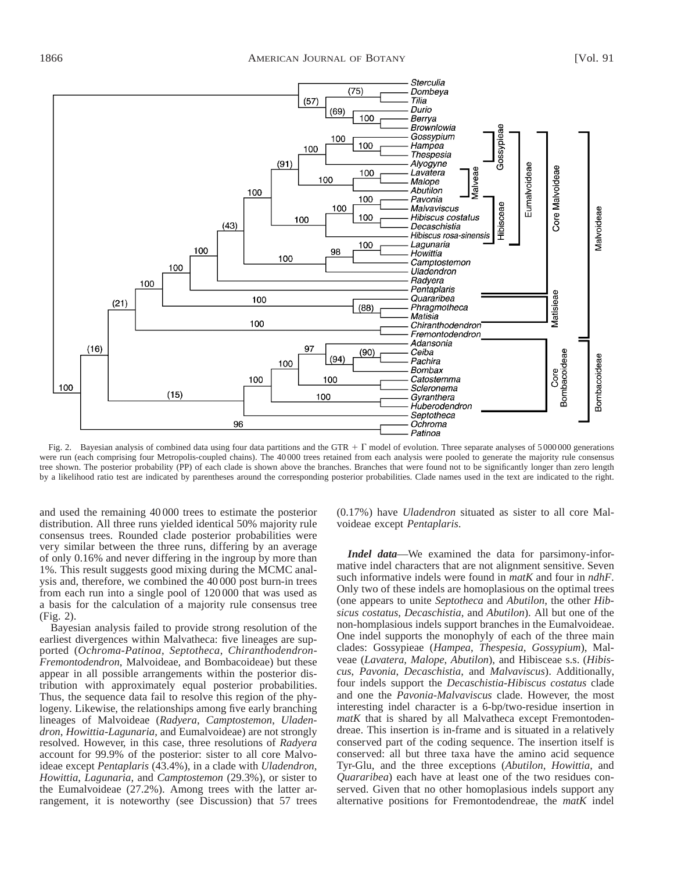

Fig. 2. Bayesian analysis of combined data using four data partitions and the GTR  $+ \Gamma$  model of evolution. Three separate analyses of 5 000 000 generations were run (each comprising four Metropolis-coupled chains). The 40 000 trees retained from each analysis were pooled to generate the majority rule consensus tree shown. The posterior probability (PP) of each clade is shown above the branches. Branches that were found not to be significantly longer than zero length by a likelihood ratio test are indicated by parentheses around the corresponding posterior probabilities. Clade names used in the text are indicated to the right.

and used the remaining 40 000 trees to estimate the posterior distribution. All three runs yielded identical 50% majority rule consensus trees. Rounded clade posterior probabilities were very similar between the three runs, differing by an average of only 0.16% and never differing in the ingroup by more than 1%. This result suggests good mixing during the MCMC analysis and, therefore, we combined the 40 000 post burn-in trees from each run into a single pool of 120 000 that was used as a basis for the calculation of a majority rule consensus tree (Fig. 2).

Bayesian analysis failed to provide strong resolution of the earliest divergences within Malvatheca: five lineages are supported (*Ochroma*-*Patinoa*, *Septotheca*, *Chiranthodendron*-*Fremontodendron*, Malvoideae, and Bombacoideae) but these appear in all possible arrangements within the posterior distribution with approximately equal posterior probabilities. Thus, the sequence data fail to resolve this region of the phylogeny. Likewise, the relationships among five early branching lineages of Malvoideae (*Radyera*, *Camptostemon*, *Uladendron*, *Howittia*-*Lagunaria*, and Eumalvoideae) are not strongly resolved. However, in this case, three resolutions of *Radyera* account for 99.9% of the posterior: sister to all core Malvoideae except *Pentaplaris* (43.4%), in a clade with *Uladendron*, *Howittia*, *Lagunaria*, and *Camptostemon* (29.3%), or sister to the Eumalvoideae (27.2%). Among trees with the latter arrangement, it is noteworthy (see Discussion) that 57 trees (0.17%) have *Uladendron* situated as sister to all core Malvoideae except *Pentaplaris*.

*Indel data*—We examined the data for parsimony-informative indel characters that are not alignment sensitive. Seven such informative indels were found in *matK* and four in *ndhF*. Only two of these indels are homoplasious on the optimal trees (one appears to unite *Septotheca* and *Abutilon*, the other *Hibsicus costatus*, *Decaschistia*, and *Abutilon*). All but one of the non-homplasious indels support branches in the Eumalvoideae. One indel supports the monophyly of each of the three main clades: Gossypieae (*Hampea*, *Thespesia*, *Gossypium*), Malveae (*Lavatera*, *Malope*, *Abutilon*), and Hibisceae s.s. (*Hibiscus*, *Pavonia*, *Decaschistia*, and *Malvaviscus*). Additionally, four indels support the *Decaschistia*-*Hibiscus costatus* clade and one the *Pavonia*-*Malvaviscus* clade. However, the most interesting indel character is a 6-bp/two-residue insertion in *matK* that is shared by all Malvatheca except Fremontodendreae. This insertion is in-frame and is situated in a relatively conserved part of the coding sequence. The insertion itself is conserved: all but three taxa have the amino acid sequence Tyr-Glu, and the three exceptions (*Abutilon*, *Howittia*, and *Quararibea*) each have at least one of the two residues conserved. Given that no other homoplasious indels support any alternative positions for Fremontodendreae, the *matK* indel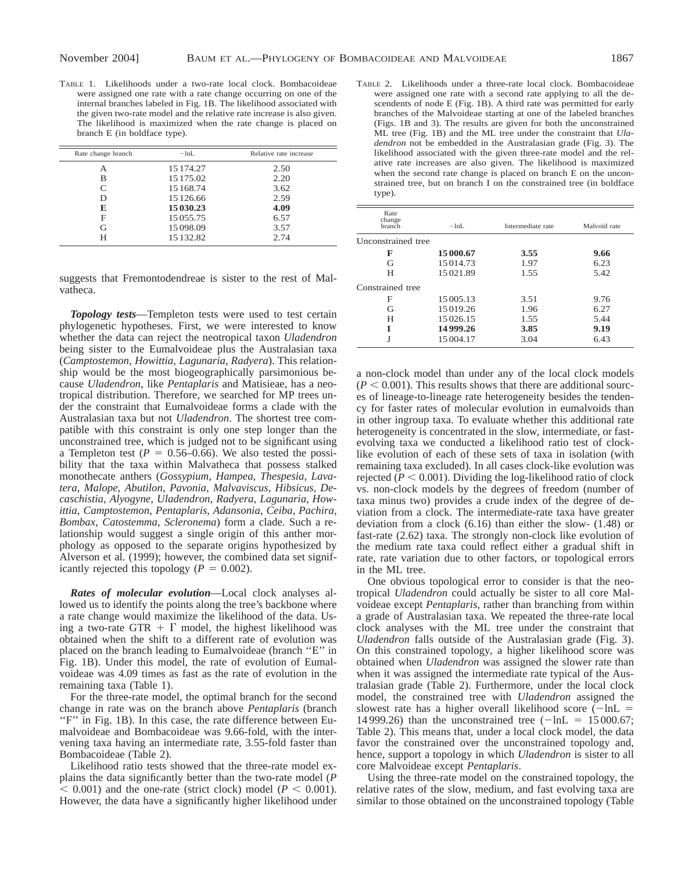TABLE 1. Likelihoods under a two-rate local clock. Bombacoideae were assigned one rate with a rate change occurring on one of the internal branches labeled in Fig. 1B. The likelihood associated with the given two-rate model and the relative rate increase is also given. The likelihood is maximized when the rate change is placed on branch E (in boldface type).

| Rate change branch | $-\ln L$  | Relative rate increase |
|--------------------|-----------|------------------------|
| А                  | 15 174.27 | 2.50                   |
| в                  | 15 175.02 | 2.20                   |
| C                  | 15 168.74 | 3.62                   |
| D                  | 15 126.66 | 2.59                   |
| E                  | 15 030.23 | 4.09                   |
| F                  | 15055.75  | 6.57                   |
| G                  | 15 098.09 | 3.57                   |
| H                  | 15 132.82 | 2.74                   |

suggests that Fremontodendreae is sister to the rest of Malvatheca.

*Topology tests*—Templeton tests were used to test certain phylogenetic hypotheses. First, we were interested to know whether the data can reject the neotropical taxon *Uladendron* being sister to the Eumalvoideae plus the Australasian taxa (*Camptostemon*, *Howittia*, *Lagunaria*, *Radyera*). This relationship would be the most biogeographically parsimonious because *Uladendron*, like *Pentaplaris* and Matisieae, has a neotropical distribution. Therefore, we searched for MP trees under the constraint that Eumalvoideae forms a clade with the Australasian taxa but not *Uladendron*. The shortest tree compatible with this constraint is only one step longer than the unconstrained tree, which is judged not to be significant using a Templeton test ( $P = 0.56{\text -}0.66$ ). We also tested the possibility that the taxa within Malvatheca that possess stalked monothecate anthers (*Gossypium*, *Hampea*, *Thespesia*, *Lavatera*, *Malope*, *Abutilon*, *Pavonia*, *Malvaviscus*, *Hibsicus*, *Decaschistia*, *Alyogyne*, *Uladendron*, *Radyera*, *Lagunaria*, *Howittia*, *Camptostemon*, *Pentaplaris*, *Adansonia*, *Ceiba*, *Pachira*, *Bombax*, *Catostemma*, *Scleronema*) form a clade. Such a relationship would suggest a single origin of this anther morphology as opposed to the separate origins hypothesized by Alverson et al. (1999); however, the combined data set significantly rejected this topology ( $P = 0.002$ ).

*Rates of molecular evolution*—Local clock analyses allowed us to identify the points along the tree's backbone where a rate change would maximize the likelihood of the data. Using a two-rate GTR +  $\Gamma$  model, the highest likelihood was obtained when the shift to a different rate of evolution was placed on the branch leading to Eumalvoideae (branch ''E'' in Fig. 1B). Under this model, the rate of evolution of Eumalvoideae was 4.09 times as fast as the rate of evolution in the remaining taxa (Table 1).

For the three-rate model, the optimal branch for the second change in rate was on the branch above *Pentaplaris* (branch "F" in Fig. 1B). In this case, the rate difference between Eumalvoideae and Bombacoideae was 9.66-fold, with the intervening taxa having an intermediate rate, 3.55-fold faster than Bombacoideae (Table 2).

Likelihood ratio tests showed that the three-rate model explains the data significantly better than the two-rate model (*P*  $< 0.001$ ) and the one-rate (strict clock) model ( $P < 0.001$ ). However, the data have a significantly higher likelihood under TABLE 2. Likelihoods under a three-rate local clock. Bombacoideae were assigned one rate with a second rate applying to all the descendents of node E (Fig. 1B). A third rate was permitted for early branches of the Malvoideae starting at one of the labeled branches (Figs. 1B and 3). The results are given for both the unconstrained ML tree (Fig. 1B) and the ML tree under the constraint that *Uladendron* not be embedded in the Australasian grade (Fig. 3). The likelihood associated with the given three-rate model and the relative rate increases are also given. The likelihood is maximized when the second rate change is placed on branch E on the unconstrained tree, but on branch I on the constrained tree (in boldface type).

| Rate<br>change<br>branch | $-\ln L$  | Intermediate rate | Malvoid rate |
|--------------------------|-----------|-------------------|--------------|
| Unconstrained tree       |           |                   |              |
| F                        | 15 000.67 | 3.55              | 9.66         |
| G                        | 15014.73  | 1.97              | 6.23         |
| Н                        | 15021.89  | 1.55              | 5.42         |
| Constrained tree         |           |                   |              |
| F                        | 15 005.13 | 3.51              | 9.76         |
| G                        | 15019.26  | 1.96              | 6.27         |
| Н                        | 15026.15  | 1.55              | 5.44         |
|                          | 14999.26  | 3.85              | 9.19         |
|                          | 15 004.17 | 3.04              | 6.43         |

a non-clock model than under any of the local clock models  $(P < 0.001)$ . This results shows that there are additional sources of lineage-to-lineage rate heterogeneity besides the tendency for faster rates of molecular evolution in eumalvoids than in other ingroup taxa. To evaluate whether this additional rate heterogeneity is concentrated in the slow, intermediate, or fastevolving taxa we conducted a likelihood ratio test of clocklike evolution of each of these sets of taxa in isolation (with remaining taxa excluded). In all cases clock-like evolution was rejected  $(P \le 0.001)$ . Dividing the log-likelihood ratio of clock vs. non-clock models by the degrees of freedom (number of taxa minus two) provides a crude index of the degree of deviation from a clock. The intermediate-rate taxa have greater deviation from a clock (6.16) than either the slow- (1.48) or fast-rate (2.62) taxa. The strongly non-clock like evolution of the medium rate taxa could reflect either a gradual shift in rate, rate variation due to other factors, or topological errors in the ML tree.

One obvious topological error to consider is that the neotropical *Uladendron* could actually be sister to all core Malvoideae except *Pentaplaris*, rather than branching from within a grade of Australasian taxa. We repeated the three-rate local clock analyses with the ML tree under the constraint that *Uladendron* falls outside of the Australasian grade (Fig. 3). On this constrained topology, a higher likelihood score was obtained when *Uladendron* was assigned the slower rate than when it was assigned the intermediate rate typical of the Australasian grade (Table 2). Furthermore, under the local clock model, the constrained tree with *Uladendron* assigned the slowest rate has a higher overall likelihood score  $\bar{(-ln)}$  = 14 999.26) than the unconstrained tree  $(-\ln L = 15000.67;$ Table 2). This means that, under a local clock model, the data favor the constrained over the unconstrained topology and, hence, support a topology in which *Uladendron* is sister to all core Malvoideae except *Pentaplaris*.

Using the three-rate model on the constrained topology, the relative rates of the slow, medium, and fast evolving taxa are similar to those obtained on the unconstrained topology (Table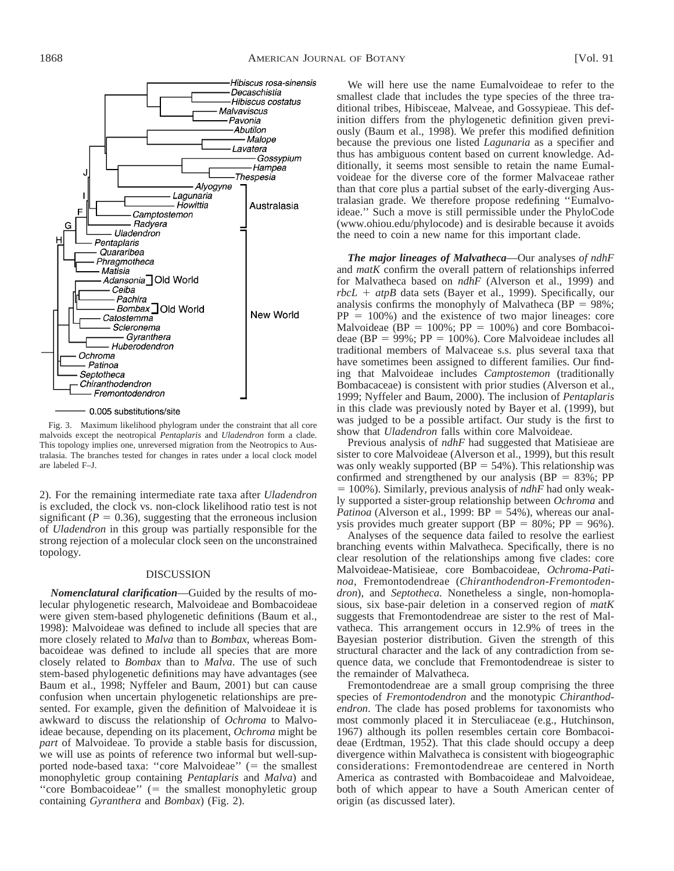

Fig. 3. Maximum likelihood phylogram under the constraint that all core malvoids except the neotropical *Pentaplaris* and *Uladendron* form a clade. This topology implies one, unreversed migration from the Neotropics to Australasia. The branches tested for changes in rates under a local clock model are labeled F–J.

2). For the remaining intermediate rate taxa after *Uladendron* is excluded, the clock vs. non-clock likelihood ratio test is not significant ( $P = 0.36$ ), suggesting that the erroneous inclusion of *Uladendron* in this group was partially responsible for the strong rejection of a molecular clock seen on the unconstrained topology.

### DISCUSSION

*Nomenclatural clarification*—Guided by the results of molecular phylogenetic research, Malvoideae and Bombacoideae were given stem-based phylogenetic definitions (Baum et al., 1998): Malvoideae was defined to include all species that are more closely related to *Malva* than to *Bombax*, whereas Bombacoideae was defined to include all species that are more closely related to *Bombax* than to *Malva*. The use of such stem-based phylogenetic definitions may have advantages (see Baum et al., 1998; Nyffeler and Baum, 2001) but can cause confusion when uncertain phylogenetic relationships are presented. For example, given the definition of Malvoideae it is awkward to discuss the relationship of *Ochroma* to Malvoideae because, depending on its placement, *Ochroma* might be *part* of Malvoideae. To provide a stable basis for discussion, we will use as points of reference two informal but well-supported node-based taxa: "core Malvoideae" (= the smallest monophyletic group containing *Pentaplaris* and *Malva*) and "core Bombacoideae" (= the smallest monophyletic group containing *Gyranthera* and *Bombax*) (Fig. 2).

We will here use the name Eumalvoideae to refer to the smallest clade that includes the type species of the three traditional tribes, Hibisceae, Malveae, and Gossypieae. This definition differs from the phylogenetic definition given previously (Baum et al., 1998). We prefer this modified definition because the previous one listed *Lagunaria* as a specifier and thus has ambiguous content based on current knowledge. Additionally, it seems most sensible to retain the name Eumalvoideae for the diverse core of the former Malvaceae rather than that core plus a partial subset of the early-diverging Australasian grade. We therefore propose redefining ''Eumalvoideae.'' Such a move is still permissible under the PhyloCode (www.ohiou.edu/phylocode) and is desirable because it avoids the need to coin a new name for this important clade.

*The major lineages of Malvatheca*—Our analyses *of ndhF* and *matK* confirm the overall pattern of relationships inferred for Malvatheca based on *ndhF* (Alverson et al., 1999) and  $rbcL + atpB$  data sets (Bayer et al., 1999). Specifically, our analysis confirms the monophyly of Malvatheca ( $BP = 98\%$ ;  $PP = 100\%$ ) and the existence of two major lineages: core Malvoideae ( $BP = 100\%$ ;  $PP = 100\%$ ) and core Bombacoideae (BP =  $99\%$ ; PP =  $100\%$ ). Core Malvoideae includes all traditional members of Malvaceae s.s. plus several taxa that have sometimes been assigned to different families. Our finding that Malvoideae includes *Camptostemon* (traditionally Bombacaceae) is consistent with prior studies (Alverson et al., 1999; Nyffeler and Baum, 2000). The inclusion of *Pentaplaris* in this clade was previously noted by Bayer et al. (1999), but was judged to be a possible artifact. Our study is the first to show that *Uladendron* falls within core Malvoideae.

Previous analysis of *ndhF* had suggested that Matisieae are sister to core Malvoideae (Alverson et al., 1999), but this result was only weakly supported ( $BP = 54\%$ ). This relationship was confirmed and strengthened by our analysis ( $BP = 83\%$ ; PP 5 100%). Similarly, previous analysis of *ndhF* had only weakly supported a sister-group relationship between *Ochroma* and *Patinoa* (Alverson et al., 1999:  $BP = 54\%$ ), whereas our analysis provides much greater support (BP =  $80\%$ ; PP =  $96\%$ ).

Analyses of the sequence data failed to resolve the earliest branching events within Malvatheca. Specifically, there is no clear resolution of the relationships among five clades: core Malvoideae-Matisieae, core Bombacoideae, *Ochroma*-*Patinoa*, Fremontodendreae (*Chiranthodendron*-*Fremontodendron*), and *Septotheca*. Nonetheless a single, non-homoplasious, six base-pair deletion in a conserved region of *matK* suggests that Fremontodendreae are sister to the rest of Malvatheca. This arrangement occurs in 12.9% of trees in the Bayesian posterior distribution. Given the strength of this structural character and the lack of any contradiction from sequence data, we conclude that Fremontodendreae is sister to the remainder of Malvatheca.

Fremontodendreae are a small group comprising the three species of *Fremontodendron* and the monotypic *Chiranthodendron*. The clade has posed problems for taxonomists who most commonly placed it in Sterculiaceae (e.g., Hutchinson, 1967) although its pollen resembles certain core Bombacoideae (Erdtman, 1952). That this clade should occupy a deep divergence within Malvatheca is consistent with biogeographic considerations: Fremontodendreae are centered in North America as contrasted with Bombacoideae and Malvoideae, both of which appear to have a South American center of origin (as discussed later).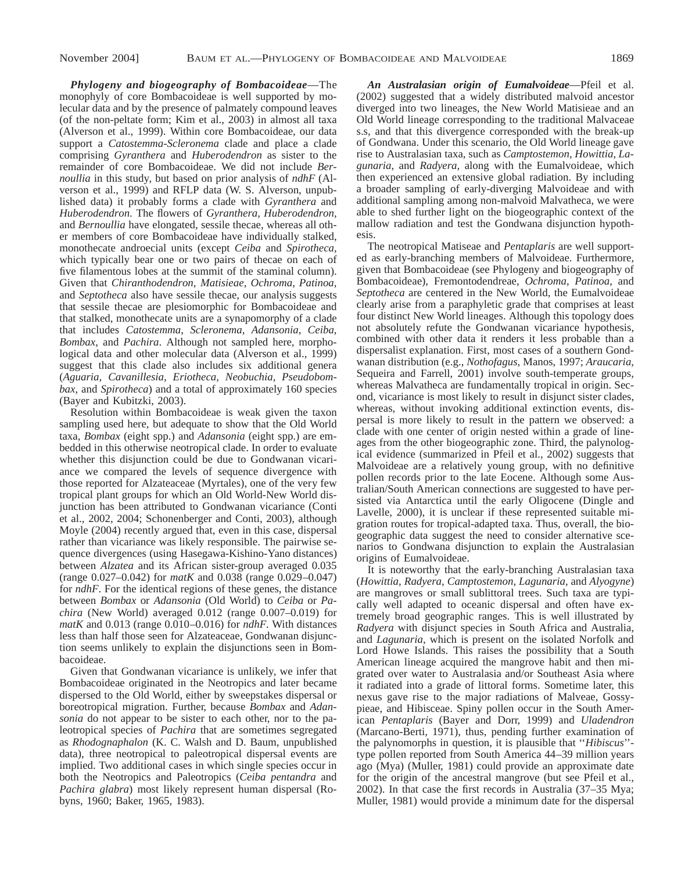*Phylogeny and biogeography of Bombacoideae*—The monophyly of core Bombacoideae is well supported by molecular data and by the presence of palmately compound leaves (of the non-peltate form; Kim et al., 2003) in almost all taxa (Alverson et al., 1999). Within core Bombacoideae, our data support a *Catostemma*-*Scleronema* clade and place a clade comprising *Gyranthera* and *Huberodendron* as sister to the remainder of core Bombacoideae. We did not include *Bernoullia* in this study, but based on prior analysis of *ndhF* (Alverson et al., 1999) and RFLP data (W. S. Alverson, unpublished data) it probably forms a clade with *Gyranthera* and *Huberodendron*. The flowers of *Gyranthera*, *Huberodendron*, and *Bernoullia* have elongated, sessile thecae, whereas all other members of core Bombacoideae have individually stalked, monothecate androecial units (except *Ceiba* and *Spirotheca*, which typically bear one or two pairs of thecae on each of five filamentous lobes at the summit of the staminal column). Given that *Chiranthodendron*, *Matisieae*, *Ochroma*, *Patinoa*, and *Septotheca* also have sessile thecae, our analysis suggests that sessile thecae are plesiomorphic for Bombacoideae and that stalked, monothecate units are a synapomorphy of a clade that includes *Catostemma*, *Scleronema*, *Adansonia*, *Ceiba*, *Bombax*, and *Pachira*. Although not sampled here, morphological data and other molecular data (Alverson et al., 1999) suggest that this clade also includes six additional genera (*Aguaria*, *Cavanillesia*, *Eriotheca*, *Neobuchia*, *Pseudobombax*, and *Spirotheca*) and a total of approximately 160 species (Bayer and Kubitzki, 2003).

Resolution within Bombacoideae is weak given the taxon sampling used here, but adequate to show that the Old World taxa, *Bombax* (eight spp.) and *Adansonia* (eight spp.) are embedded in this otherwise neotropical clade. In order to evaluate whether this disjunction could be due to Gondwanan vicariance we compared the levels of sequence divergence with those reported for Alzateaceae (Myrtales), one of the very few tropical plant groups for which an Old World-New World disjunction has been attributed to Gondwanan vicariance (Conti et al., 2002, 2004; Schonenberger and Conti, 2003), although Moyle (2004) recently argued that, even in this case, dispersal rather than vicariance was likely responsible. The pairwise sequence divergences (using Hasegawa-Kishino-Yano distances) between *Alzatea* and its African sister-group averaged 0.035 (range 0.027–0.042) for *matK* and 0.038 (range 0.029–0.047) for *ndhF*. For the identical regions of these genes, the distance between *Bombax* or *Adansonia* (Old World) to *Ceiba* or *Pachira* (New World) averaged 0.012 (range 0.007–0.019) for *matK* and 0.013 (range 0.010–0.016) for *ndhF.* With distances less than half those seen for Alzateaceae, Gondwanan disjunction seems unlikely to explain the disjunctions seen in Bombacoideae.

Given that Gondwanan vicariance is unlikely, we infer that Bombacoideae originated in the Neotropics and later became dispersed to the Old World, either by sweepstakes dispersal or boreotropical migration. Further, because *Bombax* and *Adansonia* do not appear to be sister to each other, nor to the paleotropical species of *Pachira* that are sometimes segregated as *Rhodognaphalon* (K. C. Walsh and D. Baum, unpublished data), three neotropical to paleotropical dispersal events are implied. Two additional cases in which single species occur in both the Neotropics and Paleotropics (*Ceiba pentandra* and *Pachira glabra*) most likely represent human dispersal (Robyns, 1960; Baker, 1965, 1983).

*An Australasian origin of Eumalvoideae*—Pfeil et al. (2002) suggested that a widely distributed malvoid ancestor diverged into two lineages, the New World Matisieae and an Old World lineage corresponding to the traditional Malvaceae s.s, and that this divergence corresponded with the break-up of Gondwana. Under this scenario, the Old World lineage gave rise to Australasian taxa, such as *Camptostemon*, *Howittia*, *Lagunaria*, and *Radyera*, along with the Eumalvoideae, which then experienced an extensive global radiation. By including a broader sampling of early-diverging Malvoideae and with additional sampling among non-malvoid Malvatheca, we were able to shed further light on the biogeographic context of the mallow radiation and test the Gondwana disjunction hypothesis.

The neotropical Matiseae and *Pentaplaris* are well supported as early-branching members of Malvoideae. Furthermore, given that Bombacoideae (see Phylogeny and biogeography of Bombacoideae), Fremontodendreae, *Ochroma*, *Patinoa*, and *Septotheca* are centered in the New World, the Eumalvoideae clearly arise from a paraphyletic grade that comprises at least four distinct New World lineages. Although this topology does not absolutely refute the Gondwanan vicariance hypothesis, combined with other data it renders it less probable than a dispersalist explanation. First, most cases of a southern Gondwanan distribution (e.g., *Nothofagus*, Manos, 1997; *Araucaria*, Sequeira and Farrell, 2001) involve south-temperate groups, whereas Malvatheca are fundamentally tropical in origin. Second, vicariance is most likely to result in disjunct sister clades, whereas, without invoking additional extinction events, dispersal is more likely to result in the pattern we observed: a clade with one center of origin nested within a grade of lineages from the other biogeographic zone. Third, the palynological evidence (summarized in Pfeil et al., 2002) suggests that Malvoideae are a relatively young group, with no definitive pollen records prior to the late Eocene. Although some Australian/South American connections are suggested to have persisted via Antarctica until the early Oligocene (Dingle and Lavelle, 2000), it is unclear if these represented suitable migration routes for tropical-adapted taxa. Thus, overall, the biogeographic data suggest the need to consider alternative scenarios to Gondwana disjunction to explain the Australasian origins of Eumalvoideae.

It is noteworthy that the early-branching Australasian taxa (*Howittia*, *Radyera*, *Camptostemon*, *Lagunaria*, and *Alyogyne*) are mangroves or small sublittoral trees. Such taxa are typically well adapted to oceanic dispersal and often have extremely broad geographic ranges. This is well illustrated by *Radyera* with disjunct species in South Africa and Australia, and *Lagunaria*, which is present on the isolated Norfolk and Lord Howe Islands. This raises the possibility that a South American lineage acquired the mangrove habit and then migrated over water to Australasia and/or Southeast Asia where it radiated into a grade of littoral forms. Sometime later, this nexus gave rise to the major radiations of Malveae, Gossypieae, and Hibisceae. Spiny pollen occur in the South American *Pentaplaris* (Bayer and Dorr, 1999) and *Uladendron* (Marcano-Berti, 1971), thus, pending further examination of the palynomorphs in question, it is plausible that ''*Hibiscus*'' type pollen reported from South America 44–39 million years ago (Mya) (Muller, 1981) could provide an approximate date for the origin of the ancestral mangrove (but see Pfeil et al., 2002). In that case the first records in Australia (37–35 Mya; Muller, 1981) would provide a minimum date for the dispersal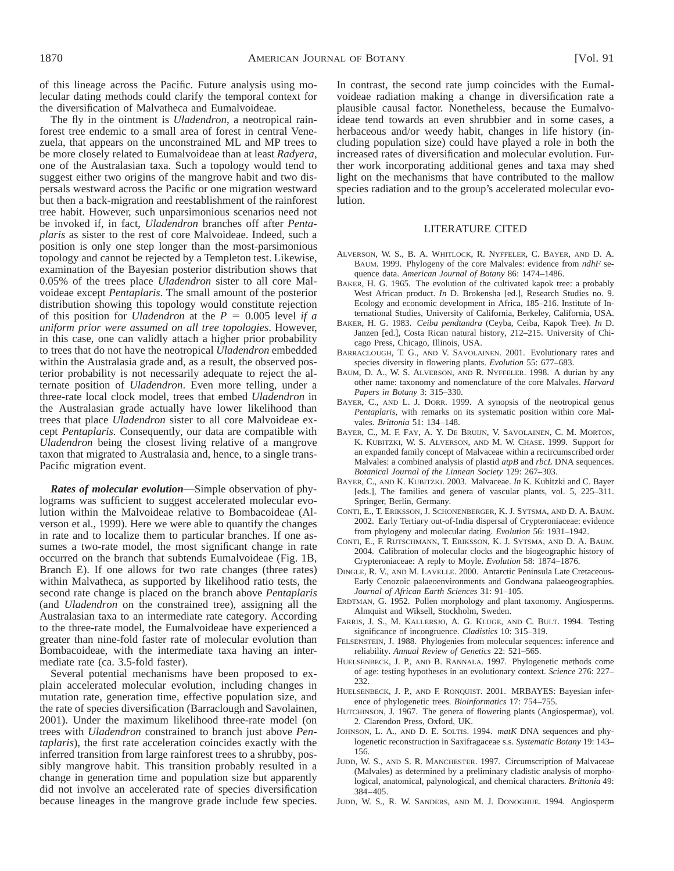of this lineage across the Pacific. Future analysis using molecular dating methods could clarify the temporal context for the diversification of Malvatheca and Eumalvoideae.

The fly in the ointment is *Uladendron*, a neotropical rainforest tree endemic to a small area of forest in central Venezuela, that appears on the unconstrained ML and MP trees to be more closely related to Eumalvoideae than at least *Radyera*, one of the Australasian taxa. Such a topology would tend to suggest either two origins of the mangrove habit and two dispersals westward across the Pacific or one migration westward but then a back-migration and reestablishment of the rainforest tree habit. However, such unparsimonious scenarios need not be invoked if, in fact, *Uladendron* branches off after *Pentaplaris* as sister to the rest of core Malvoideae. Indeed, such a position is only one step longer than the most-parsimonious topology and cannot be rejected by a Templeton test. Likewise, examination of the Bayesian posterior distribution shows that 0.05% of the trees place *Uladendron* sister to all core Malvoideae except *Pentaplaris*. The small amount of the posterior distribution showing this topology would constitute rejection of this position for *Uladendron* at the  $P = 0.005$  level *if a uniform prior were assumed on all tree topologies*. However, in this case, one can validly attach a higher prior probability to trees that do not have the neotropical *Uladendron* embedded within the Australasia grade and, as a result, the observed posterior probability is not necessarily adequate to reject the alternate position of *Uladendron*. Even more telling, under a three-rate local clock model, trees that embed *Uladendron* in the Australasian grade actually have lower likelihood than trees that place *Uladendron* sister to all core Malvoideae except *Pentaplaris*. Consequently, our data are compatible with *Uladendron* being the closest living relative of a mangrove taxon that migrated to Australasia and, hence, to a single trans-Pacific migration event.

*Rates of molecular evolution*—Simple observation of phylograms was sufficient to suggest accelerated molecular evolution within the Malvoideae relative to Bombacoideae (Alverson et al., 1999). Here we were able to quantify the changes in rate and to localize them to particular branches. If one assumes a two-rate model, the most significant change in rate occurred on the branch that subtends Eumalvoideae (Fig. 1B, Branch E). If one allows for two rate changes (three rates) within Malvatheca, as supported by likelihood ratio tests, the second rate change is placed on the branch above *Pentaplaris* (and *Uladendron* on the constrained tree), assigning all the Australasian taxa to an intermediate rate category. According to the three-rate model, the Eumalvoideae have experienced a greater than nine-fold faster rate of molecular evolution than Bombacoideae, with the intermediate taxa having an intermediate rate (ca. 3.5-fold faster).

Several potential mechanisms have been proposed to explain accelerated molecular evolution, including changes in mutation rate, generation time, effective population size, and the rate of species diversification (Barraclough and Savolainen, 2001). Under the maximum likelihood three-rate model (on trees with *Uladendron* constrained to branch just above *Pentaplaris*), the first rate acceleration coincides exactly with the inferred transition from large rainforest trees to a shrubby, possibly mangrove habit. This transition probably resulted in a change in generation time and population size but apparently did not involve an accelerated rate of species diversification because lineages in the mangrove grade include few species.

In contrast, the second rate jump coincides with the Eumalvoideae radiation making a change in diversification rate a plausible causal factor. Nonetheless, because the Eumalvoideae tend towards an even shrubbier and in some cases, a herbaceous and/or weedy habit, changes in life history (including population size) could have played a role in both the increased rates of diversification and molecular evolution. Further work incorporating additional genes and taxa may shed light on the mechanisms that have contributed to the mallow species radiation and to the group's accelerated molecular evolution.

### LITERATURE CITED

- ALVERSON, W. S., B. A. WHITLOCK, R. NYFFELER, C. BAYER, AND D. A. BAUM. 1999. Phylogeny of the core Malvales: evidence from *ndhF* sequence data. *American Journal of Botany* 86: 1474–1486.
- BAKER, H. G. 1965. The evolution of the cultivated kapok tree: a probably West African product. *In* D. Brokensha [ed.], Research Studies no. 9. Ecology and economic development in Africa, 185–216. Institute of International Studies, University of California, Berkeley, California, USA.
- BAKER, H. G. 1983. *Ceiba pendtandra* (Ceyba, Ceiba, Kapok Tree). *In* D. Janzen [ed.], Costa Rican natural history, 212–215. University of Chicago Press, Chicago, Illinois, USA.
- BARRACLOUGH, T. G., AND V. SAVOLAINEN. 2001. Evolutionary rates and species diversity in flowering plants. *Evolution* 55: 677–683.
- BAUM, D. A., W. S. ALVERSON, AND R. NYFFELER. 1998. A durian by any other name: taxonomy and nomenclature of the core Malvales. *Harvard Papers in Botany* 3: 315–330.
- BAYER, C., AND L. J. DORR. 1999. A synopsis of the neotropical genus *Pentaplaris*, with remarks on its systematic position within core Malvales. *Brittonia* 51: 134–148.
- BAYER, C., M. F. FAY, A. Y. DE BRUIJN, V. SAVOLAINEN, C. M. MORTON, K. KUBITZKI, W. S. ALVERSON, AND M. W. CHASE. 1999. Support for an expanded family concept of Malvaceae within a recircumscribed order Malvales: a combined analysis of plastid *atpB* and *rbcL* DNA sequences. *Botanical Journal of the Linnean Society* 129: 267–303.
- BAYER, C., AND K. KUBITZKI. 2003. Malvaceae. *In* K. Kubitzki and C. Bayer [eds.], The families and genera of vascular plants, vol. 5, 225–311. Springer, Berlin, Germany.
- CONTI, E., T. ERIKSSON, J. SCHONENBERGER, K. J. SYTSMA, AND D. A. BAUM. 2002. Early Tertiary out-of-India dispersal of Crypteroniaceae: evidence from phylogeny and molecular dating. *Evolution* 56: 1931–1942.
- CONTI, E., F. RUTSCHMANN, T. ERIKSSON, K. J. SYTSMA, AND D. A. BAUM. 2004. Calibration of molecular clocks and the biogeographic history of Crypteroniaceae: A reply to Moyle. *Evolution* 58: 1874–1876.
- DINGLE, R. V., AND M. LAVELLE. 2000. Antarctic Peninsula Late Cretaceous-Early Cenozoic palaeoenvironments and Gondwana palaeogeographies. *Journal of African Earth Sciences* 31: 91–105.
- ERDTMAN, G. 1952. Pollen morphology and plant taxonomy. Angiosperms. Almquist and Wiksell, Stockholm, Sweden.
- FARRIS, J. S., M. KALLERSJO, A. G. KLUGE, AND C. BULT. 1994. Testing significance of incongruence. *Cladistics* 10: 315–319.
- FELSENSTEIN, J. 1988. Phylogenies from molecular sequences: inference and reliability. *Annual Review of Genetics* 22: 521–565.
- HUELSENBECK, J. P., AND B. RANNALA. 1997. Phylogenetic methods come of age: testing hypotheses in an evolutionary context. *Science* 276: 227– 232.
- HUELSENBECK, J. P., AND F. RONQUIST. 2001. MRBAYES: Bayesian inference of phylogenetic trees. *Bioinformatics* 17: 754–755.
- HUTCHINSON, J. 1967. The genera of flowering plants (Angiospermae), vol. 2. Clarendon Press, Oxford, UK.
- JOHNSON, L. A., AND D. E. SOLTIS. 1994. *matK* DNA sequences and phylogenetic reconstruction in Saxifragaceae s.s. *Systematic Botany* 19: 143– 156.
- JUDD, W. S., AND S. R. MANCHESTER. 1997. Circumscription of Malvaceae (Malvales) as determined by a preliminary cladistic analysis of morphological, anatomical, palynological, and chemical characters. *Brittonia* 49: 384–405.
- JUDD, W. S., R. W. SANDERS, AND M. J. DONOGHUE. 1994. Angiosperm